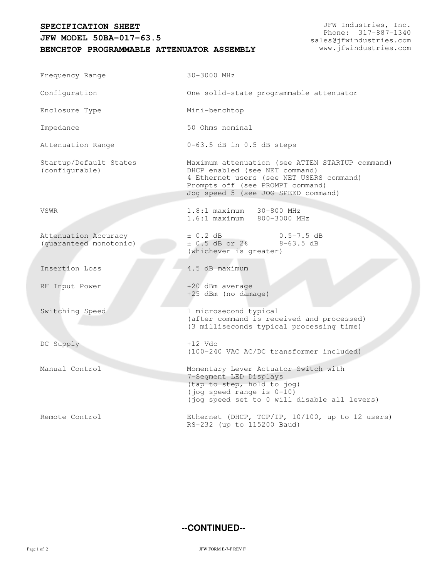## **SPECIFICATION SHEET**

## **JFW MODEL 50BA-017-63.5**

**BENCHTOP PROGRAMMABLE ATTENUATOR ASSEMBLY**

JFW Industries, Inc. Phone: 317-887-1340 sales@jfwindustries.com www.jfwindustries.com

| Frequency Range                                | 30-3000 MHz                                                                                                                                                                                              |
|------------------------------------------------|----------------------------------------------------------------------------------------------------------------------------------------------------------------------------------------------------------|
| Configuration                                  | One solid-state programmable attenuator                                                                                                                                                                  |
| Enclosure Type                                 | Mini-benchtop                                                                                                                                                                                            |
| Impedance                                      | 50 Ohms nominal                                                                                                                                                                                          |
| Attenuation Range                              | $0-63.5$ dB in $0.5$ dB steps                                                                                                                                                                            |
| Startup/Default States<br>(configurable)       | Maximum attenuation (see ATTEN STARTUP command)<br>DHCP enabled (see NET command)<br>4 Ethernet users (see NET USERS command)<br>Prompts off (see PROMPT command)<br>Jog speed 5 (see JOG SPEED command) |
| VSWR                                           | 1.8:1 maximum 30-800 MHz<br>1.6:1 maximum 800-3000 MHz                                                                                                                                                   |
| Attenuation Accuracy<br>(guaranteed monotonic) | $\pm$ 0.2 dB<br>$0.5 - 7.5$ dB<br>$± 0.5$ dB or $2$ %<br>$8-63.5$ dB<br>(whichever is greater)                                                                                                           |
| Insertion Loss                                 | 4.5 dB maximum                                                                                                                                                                                           |
| RF Input Power                                 | +20 dBm average<br>+25 dBm (no damage)                                                                                                                                                                   |
| Switching Speed                                | 1 microsecond typical<br>(after command is received and processed)<br>(3 milliseconds typical processing time)                                                                                           |
| DC Supply                                      | $+12$ Vdc<br>(100-240 VAC AC/DC transformer included)                                                                                                                                                    |
| Manual Control                                 | Momentary Lever Actuator Switch with<br>7-Segment LED Displays<br>(tap to step, hold to jog)<br>(jog speed range is 0-10)<br>(jog speed set to 0 will disable all levers)                                |
| Remote Control                                 | Ethernet (DHCP, TCP/IP, 10/100, up to 12 users)<br>RS-232 (up to 115200 Baud)                                                                                                                            |

## **--CONTINUED--**